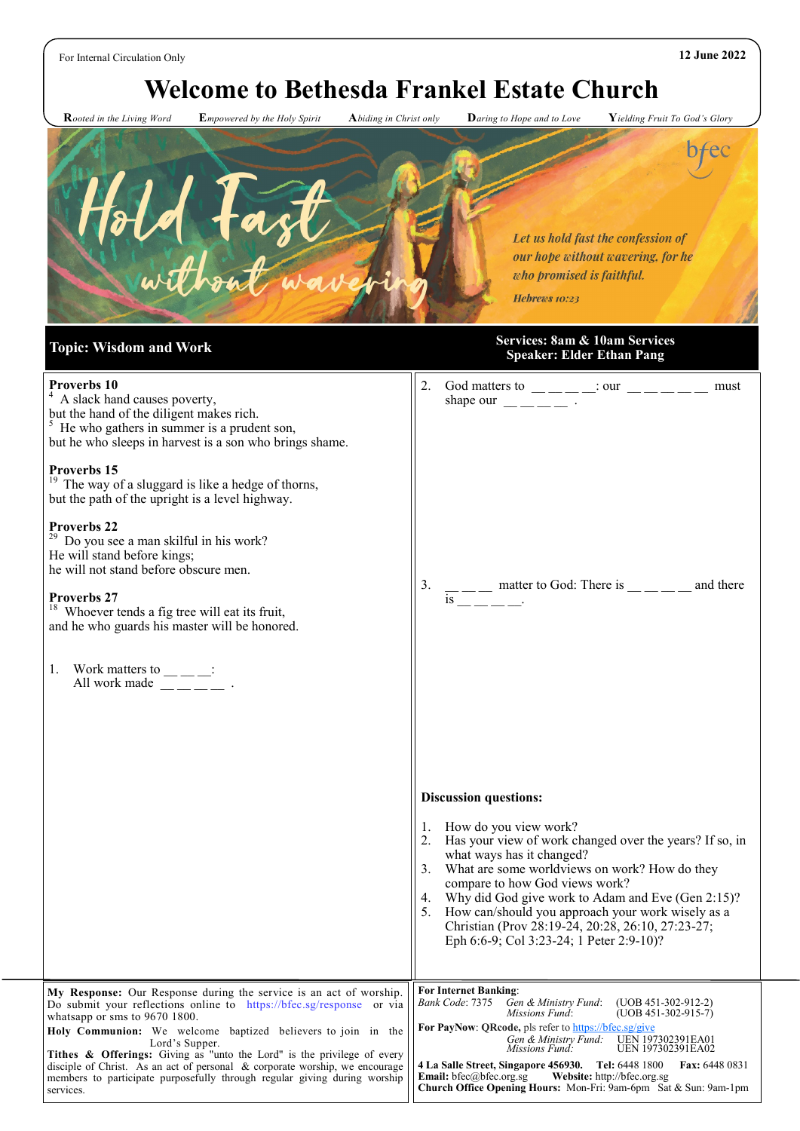# **Welcome to Bethesda Frankel Estate Church**

 **R***ooted in the Living Word* **E***mpowered by the Holy Spirit* **A***biding in Christ only* **D***aring to Hope and to Love* **Y***ielding Fruit To God's Glory*



#### **Topic: Wisdom and Work Services: 8am & 10am Services Speaker: Elder Ethan Pang**

| Proverbs 10<br><sup>4</sup> A slack hand causes poverty,                                                                                                                                                                                                                                                                                                 | 2.<br>must<br>shape our $\frac{1}{2}$ $\frac{1}{2}$ $\frac{1}{2}$ $\frac{1}{2}$ $\frac{1}{2}$ $\frac{1}{2}$ $\frac{1}{2}$                                                                                                                          |
|----------------------------------------------------------------------------------------------------------------------------------------------------------------------------------------------------------------------------------------------------------------------------------------------------------------------------------------------------------|----------------------------------------------------------------------------------------------------------------------------------------------------------------------------------------------------------------------------------------------------|
| but the hand of the diligent makes rich.<br>$5$ He who gathers in summer is a prudent son,                                                                                                                                                                                                                                                               |                                                                                                                                                                                                                                                    |
| but he who sleeps in harvest is a son who brings shame.                                                                                                                                                                                                                                                                                                  |                                                                                                                                                                                                                                                    |
| Proverbs 15<br><sup>19</sup> The way of a sluggard is like a hedge of thorns,<br>but the path of the upright is a level highway.                                                                                                                                                                                                                         |                                                                                                                                                                                                                                                    |
| Proverbs 22<br><sup>29</sup> Do you see a man skilful in his work?<br>He will stand before kings;<br>he will not stand before obscure men.                                                                                                                                                                                                               |                                                                                                                                                                                                                                                    |
| Proverbs 27<br>$18$ Whoever tends a fig tree will eat its fruit,<br>and he who guards his master will be honored.                                                                                                                                                                                                                                        | 3.<br>$\frac{1}{18}$ matter to God: There is _____ and there                                                                                                                                                                                       |
| 1. Work matters to $\_\_$ $\_\_$ :<br>All work made $\frac{1}{2}$ $\frac{1}{2}$ $\frac{1}{2}$ $\frac{1}{2}$ $\frac{1}{2}$ $\frac{1}{2}$ $\frac{1}{2}$ $\frac{1}{2}$ $\frac{1}{2}$ $\frac{1}{2}$ $\frac{1}{2}$ $\frac{1}{2}$ $\frac{1}{2}$ $\frac{1}{2}$ $\frac{1}{2}$ $\frac{1}{2}$ $\frac{1}{2}$ $\frac{1}{2}$ $\frac{1}{2}$ $\frac{1}{2}$ $\frac{1}{2$ |                                                                                                                                                                                                                                                    |
|                                                                                                                                                                                                                                                                                                                                                          | <b>Discussion questions:</b>                                                                                                                                                                                                                       |
|                                                                                                                                                                                                                                                                                                                                                          | 1. How do you view work?<br>Has your view of work changed over the years? If so, in<br>2.<br>what ways has it changed?<br>What are some worldviews on work? How do they<br>3.                                                                      |
|                                                                                                                                                                                                                                                                                                                                                          | compare to how God views work?<br>4. Why did God give work to Adam and Eve (Gen 2:15)?<br>How can/should you approach your work wisely as a<br>5.<br>Christian (Prov 28:19-24, 20:28, 26:10, 27:23-27;<br>Eph 6:6-9; Col 3:23-24; 1 Peter 2:9-10)? |
|                                                                                                                                                                                                                                                                                                                                                          | <b>For Internet Banking:</b>                                                                                                                                                                                                                       |
| My Response: Our Response during the service is an act of worship.<br>Do submit your reflections online to https://bfec.sg/response or via<br>whatsapp or sms to 9670 1800.                                                                                                                                                                              | Gen & Ministry Fund:<br>Bank Code: 7375<br>$(UOB 451-302-912-2)$<br>Missions Fund:<br>$(UOB 451-302-915-7)$                                                                                                                                        |
| Holy Communion: We welcome baptized believers to join in the<br>Lord's Supper.                                                                                                                                                                                                                                                                           | For PayNow: QRcode, pls refer to https://bfec.sg/give<br>Gen & Ministry Fund:<br>UEN 197302391EA01<br>UEN 197302391EA02<br>Missions Fund:                                                                                                          |
| Tithes & Offerings: Giving as "unto the Lord" is the privilege of every<br>disciple of Christ. As an act of personal & corporate worship, we encourage<br>members to participate purposefully through regular giving during worship<br>services.                                                                                                         | 4 La Salle Street, Singapore 456930. Tel: 6448 1800<br><b>Fax: 6448 0831</b><br><b>Email:</b> bfec@bfec.org.sg<br>Website: http://bfec.org.sg<br>Church Office Opening Hours: Mon-Fri: 9am-6pm Sat & Sun: 9am-1pm                                  |